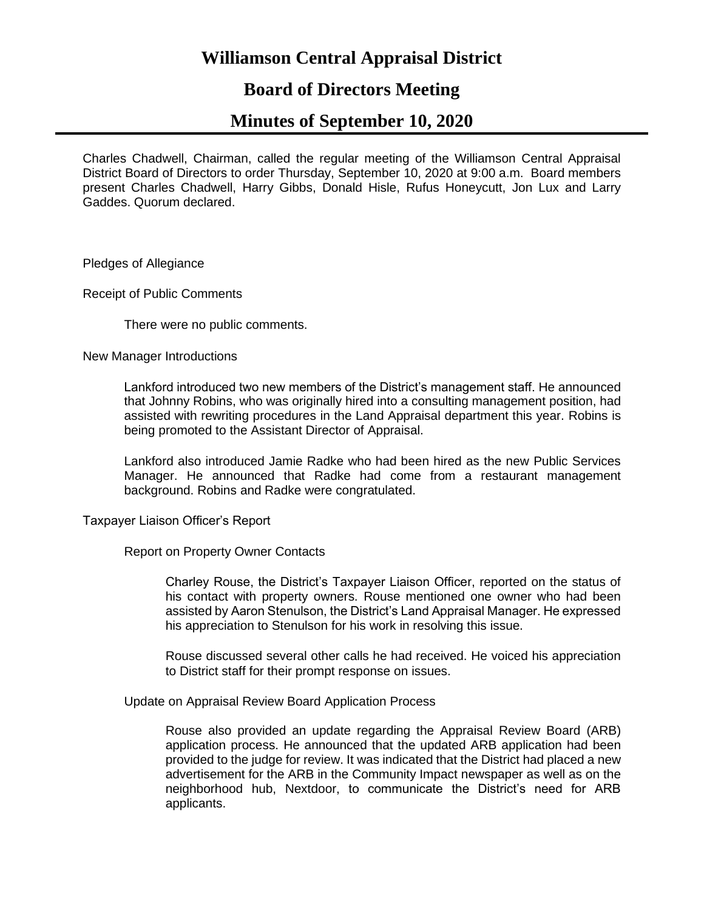# **Williamson Central Appraisal District**

# **Board of Directors Meeting**

# **Minutes of September 10, 2020**

Charles Chadwell, Chairman, called the regular meeting of the Williamson Central Appraisal District Board of Directors to order Thursday, September 10, 2020 at 9:00 a.m. Board members present Charles Chadwell, Harry Gibbs, Donald Hisle, Rufus Honeycutt, Jon Lux and Larry Gaddes. Quorum declared.

Pledges of Allegiance

Receipt of Public Comments

There were no public comments.

New Manager Introductions

Lankford introduced two new members of the District's management staff. He announced that Johnny Robins, who was originally hired into a consulting management position, had assisted with rewriting procedures in the Land Appraisal department this year. Robins is being promoted to the Assistant Director of Appraisal.

Lankford also introduced Jamie Radke who had been hired as the new Public Services Manager. He announced that Radke had come from a restaurant management background. Robins and Radke were congratulated.

Taxpayer Liaison Officer's Report

Report on Property Owner Contacts

Charley Rouse, the District's Taxpayer Liaison Officer, reported on the status of his contact with property owners. Rouse mentioned one owner who had been assisted by Aaron Stenulson, the District's Land Appraisal Manager. He expressed his appreciation to Stenulson for his work in resolving this issue.

Rouse discussed several other calls he had received. He voiced his appreciation to District staff for their prompt response on issues.

Update on Appraisal Review Board Application Process

Rouse also provided an update regarding the Appraisal Review Board (ARB) application process. He announced that the updated ARB application had been provided to the judge for review. It was indicated that the District had placed a new advertisement for the ARB in the Community Impact newspaper as well as on the neighborhood hub, Nextdoor, to communicate the District's need for ARB applicants.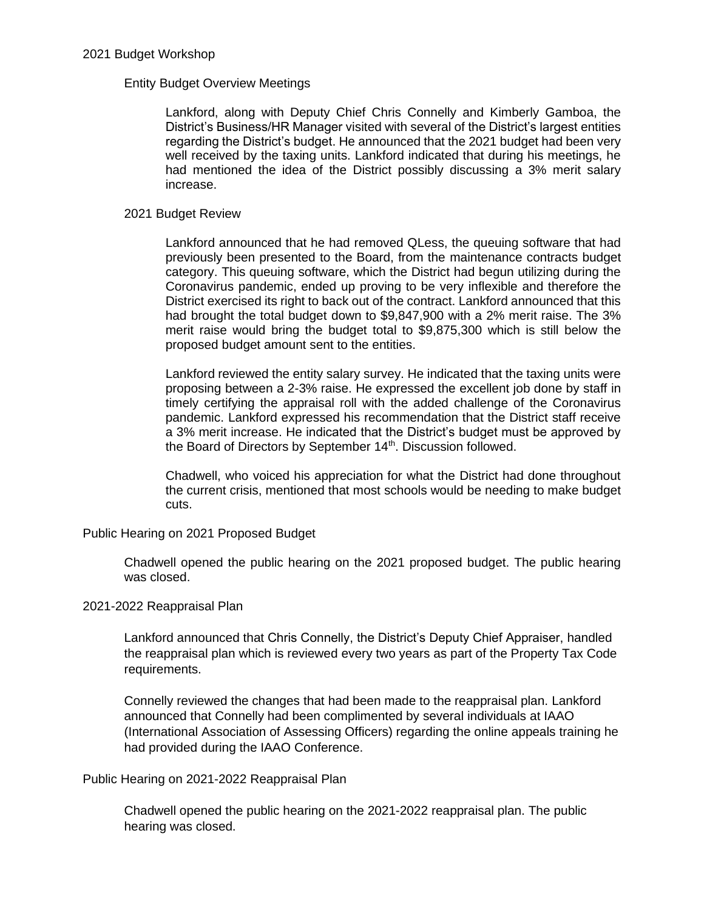## 2021 Budget Workshop

## Entity Budget Overview Meetings

Lankford, along with Deputy Chief Chris Connelly and Kimberly Gamboa, the District's Business/HR Manager visited with several of the District's largest entities regarding the District's budget. He announced that the 2021 budget had been very well received by the taxing units. Lankford indicated that during his meetings, he had mentioned the idea of the District possibly discussing a 3% merit salary increase.

## 2021 Budget Review

Lankford announced that he had removed QLess, the queuing software that had previously been presented to the Board, from the maintenance contracts budget category. This queuing software, which the District had begun utilizing during the Coronavirus pandemic, ended up proving to be very inflexible and therefore the District exercised its right to back out of the contract. Lankford announced that this had brought the total budget down to \$9,847,900 with a 2% merit raise. The 3% merit raise would bring the budget total to \$9,875,300 which is still below the proposed budget amount sent to the entities.

Lankford reviewed the entity salary survey. He indicated that the taxing units were proposing between a 2-3% raise. He expressed the excellent job done by staff in timely certifying the appraisal roll with the added challenge of the Coronavirus pandemic. Lankford expressed his recommendation that the District staff receive a 3% merit increase. He indicated that the District's budget must be approved by the Board of Directors by September 14<sup>th</sup>. Discussion followed.

Chadwell, who voiced his appreciation for what the District had done throughout the current crisis, mentioned that most schools would be needing to make budget cuts.

Public Hearing on 2021 Proposed Budget

Chadwell opened the public hearing on the 2021 proposed budget. The public hearing was closed.

## 2021-2022 Reappraisal Plan

Lankford announced that Chris Connelly, the District's Deputy Chief Appraiser, handled the reappraisal plan which is reviewed every two years as part of the Property Tax Code requirements.

Connelly reviewed the changes that had been made to the reappraisal plan. Lankford announced that Connelly had been complimented by several individuals at IAAO (International Association of Assessing Officers) regarding the online appeals training he had provided during the IAAO Conference.

Public Hearing on 2021-2022 Reappraisal Plan

Chadwell opened the public hearing on the 2021-2022 reappraisal plan. The public hearing was closed.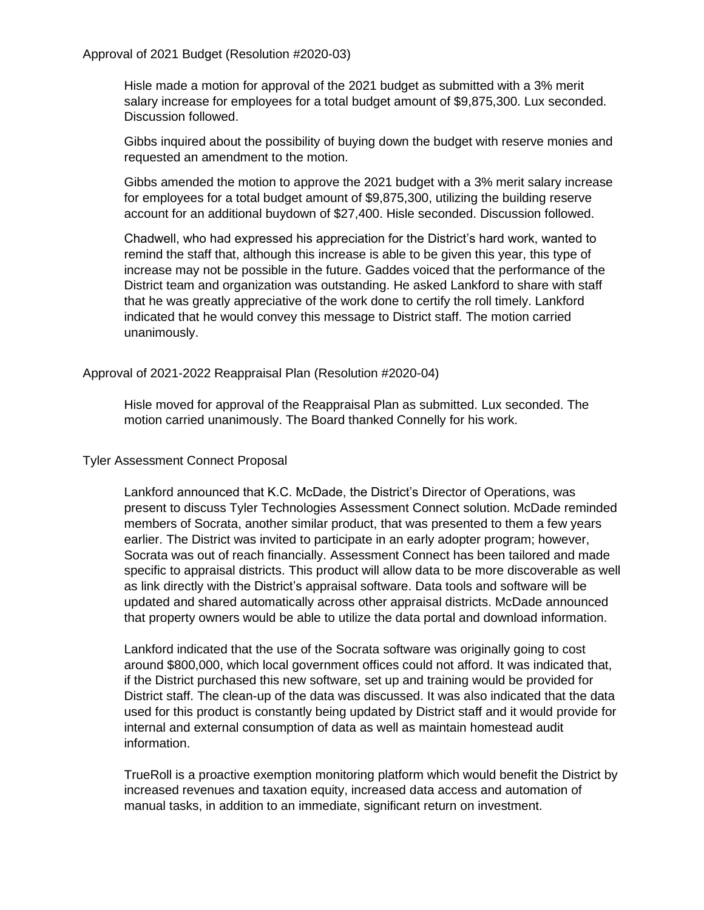Approval of 2021 Budget (Resolution #2020-03)

Hisle made a motion for approval of the 2021 budget as submitted with a 3% merit salary increase for employees for a total budget amount of \$9,875,300. Lux seconded. Discussion followed.

Gibbs inquired about the possibility of buying down the budget with reserve monies and requested an amendment to the motion.

Gibbs amended the motion to approve the 2021 budget with a 3% merit salary increase for employees for a total budget amount of \$9,875,300, utilizing the building reserve account for an additional buydown of \$27,400. Hisle seconded. Discussion followed.

Chadwell, who had expressed his appreciation for the District's hard work, wanted to remind the staff that, although this increase is able to be given this year, this type of increase may not be possible in the future. Gaddes voiced that the performance of the District team and organization was outstanding. He asked Lankford to share with staff that he was greatly appreciative of the work done to certify the roll timely. Lankford indicated that he would convey this message to District staff. The motion carried unanimously.

Approval of 2021-2022 Reappraisal Plan (Resolution #2020-04)

Hisle moved for approval of the Reappraisal Plan as submitted. Lux seconded. The motion carried unanimously. The Board thanked Connelly for his work.

# Tyler Assessment Connect Proposal

Lankford announced that K.C. McDade, the District's Director of Operations, was present to discuss Tyler Technologies Assessment Connect solution. McDade reminded members of Socrata, another similar product, that was presented to them a few years earlier. The District was invited to participate in an early adopter program; however, Socrata was out of reach financially. Assessment Connect has been tailored and made specific to appraisal districts. This product will allow data to be more discoverable as well as link directly with the District's appraisal software. Data tools and software will be updated and shared automatically across other appraisal districts. McDade announced that property owners would be able to utilize the data portal and download information.

Lankford indicated that the use of the Socrata software was originally going to cost around \$800,000, which local government offices could not afford. It was indicated that, if the District purchased this new software, set up and training would be provided for District staff. The clean-up of the data was discussed. It was also indicated that the data used for this product is constantly being updated by District staff and it would provide for internal and external consumption of data as well as maintain homestead audit information.

TrueRoll is a proactive exemption monitoring platform which would benefit the District by increased revenues and taxation equity, increased data access and automation of manual tasks, in addition to an immediate, significant return on investment.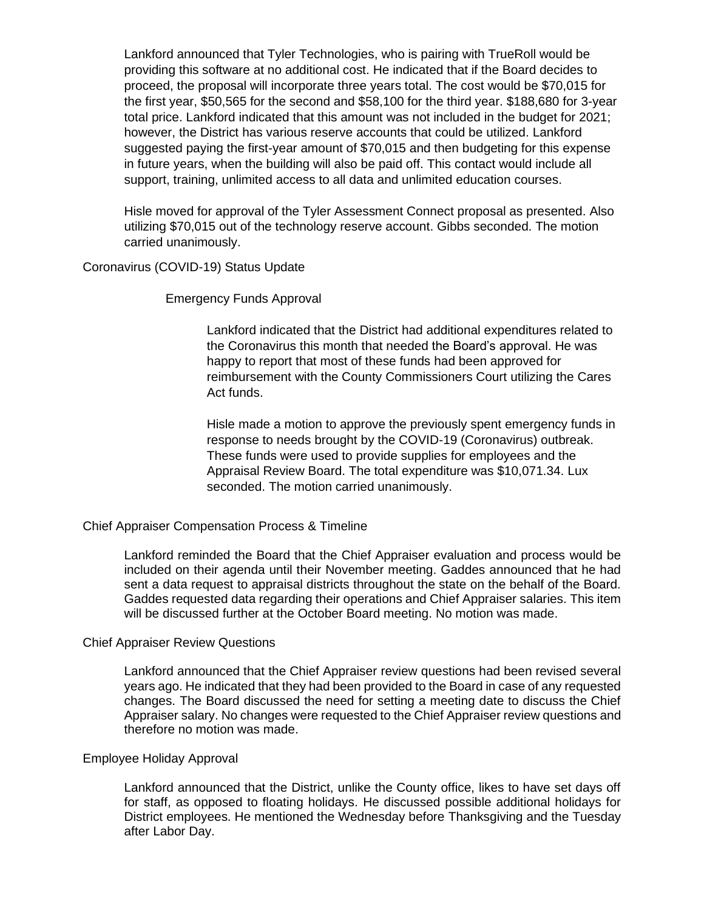Lankford announced that Tyler Technologies, who is pairing with TrueRoll would be providing this software at no additional cost. He indicated that if the Board decides to proceed, the proposal will incorporate three years total. The cost would be \$70,015 for the first year, \$50,565 for the second and \$58,100 for the third year. \$188,680 for 3-year total price. Lankford indicated that this amount was not included in the budget for 2021; however, the District has various reserve accounts that could be utilized. Lankford suggested paying the first-year amount of \$70,015 and then budgeting for this expense in future years, when the building will also be paid off. This contact would include all support, training, unlimited access to all data and unlimited education courses.

Hisle moved for approval of the Tyler Assessment Connect proposal as presented. Also utilizing \$70,015 out of the technology reserve account. Gibbs seconded. The motion carried unanimously.

## Coronavirus (COVID-19) Status Update

Emergency Funds Approval

Lankford indicated that the District had additional expenditures related to the Coronavirus this month that needed the Board's approval. He was happy to report that most of these funds had been approved for reimbursement with the County Commissioners Court utilizing the Cares Act funds.

Hisle made a motion to approve the previously spent emergency funds in response to needs brought by the COVID-19 (Coronavirus) outbreak. These funds were used to provide supplies for employees and the Appraisal Review Board. The total expenditure was \$10,071.34. Lux seconded. The motion carried unanimously.

#### Chief Appraiser Compensation Process & Timeline

Lankford reminded the Board that the Chief Appraiser evaluation and process would be included on their agenda until their November meeting. Gaddes announced that he had sent a data request to appraisal districts throughout the state on the behalf of the Board. Gaddes requested data regarding their operations and Chief Appraiser salaries. This item will be discussed further at the October Board meeting. No motion was made.

#### Chief Appraiser Review Questions

Lankford announced that the Chief Appraiser review questions had been revised several years ago. He indicated that they had been provided to the Board in case of any requested changes. The Board discussed the need for setting a meeting date to discuss the Chief Appraiser salary. No changes were requested to the Chief Appraiser review questions and therefore no motion was made.

#### Employee Holiday Approval

Lankford announced that the District, unlike the County office, likes to have set days off for staff, as opposed to floating holidays. He discussed possible additional holidays for District employees. He mentioned the Wednesday before Thanksgiving and the Tuesday after Labor Day.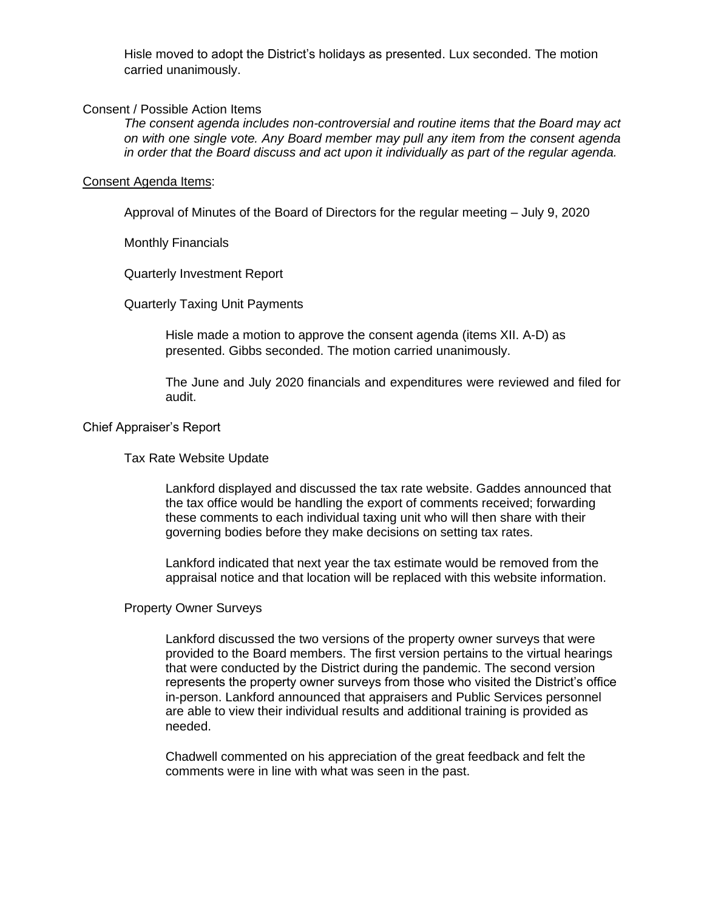Hisle moved to adopt the District's holidays as presented. Lux seconded. The motion carried unanimously.

## Consent / Possible Action Items

*The consent agenda includes non-controversial and routine items that the Board may act on with one single vote. Any Board member may pull any item from the consent agenda in order that the Board discuss and act upon it individually as part of the regular agenda.*

#### Consent Agenda Items:

Approval of Minutes of the Board of Directors for the regular meeting – July 9, 2020

Monthly Financials

Quarterly Investment Report

Quarterly Taxing Unit Payments

Hisle made a motion to approve the consent agenda (items XII. A-D) as presented. Gibbs seconded. The motion carried unanimously.

The June and July 2020 financials and expenditures were reviewed and filed for audit.

### Chief Appraiser's Report

Tax Rate Website Update

Lankford displayed and discussed the tax rate website. Gaddes announced that the tax office would be handling the export of comments received; forwarding these comments to each individual taxing unit who will then share with their governing bodies before they make decisions on setting tax rates.

Lankford indicated that next year the tax estimate would be removed from the appraisal notice and that location will be replaced with this website information.

#### Property Owner Surveys

Lankford discussed the two versions of the property owner surveys that were provided to the Board members. The first version pertains to the virtual hearings that were conducted by the District during the pandemic. The second version represents the property owner surveys from those who visited the District's office in-person. Lankford announced that appraisers and Public Services personnel are able to view their individual results and additional training is provided as needed.

Chadwell commented on his appreciation of the great feedback and felt the comments were in line with what was seen in the past.